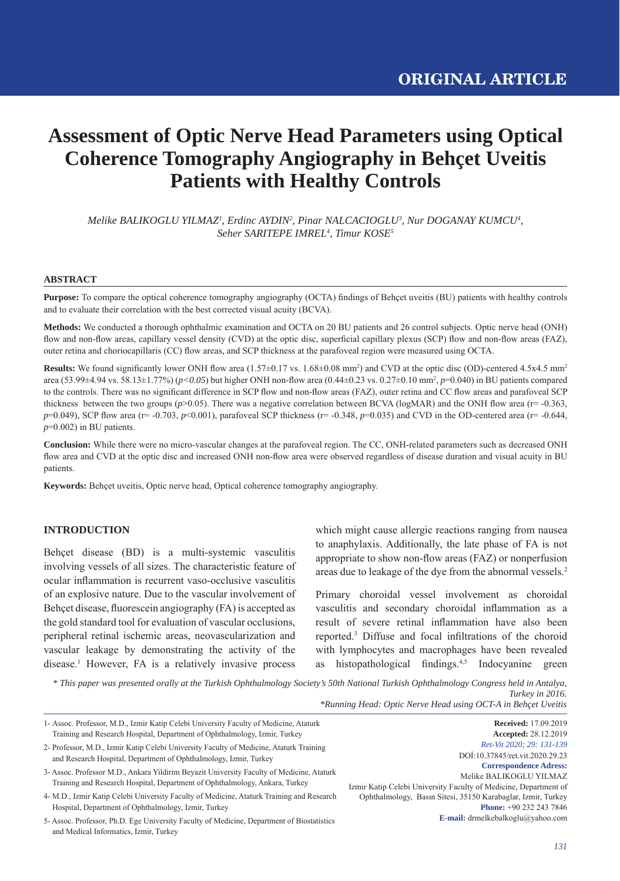# **Assessment of Optic Nerve Head Parameters using Optical Coherence Tomography Angiography in Behçet Uveitis Patients with Healthy Controls**

*Melike BALIKOGLU YILMAZ1 , Erdinc AYDIN2 , Pinar NALCACIOGLU3 , Nur DOGANAY KUMCU4 , Seher SARITEPE IMREL4 , Timur KOSE5*

#### **ABSTRACT**

**Purpose:** To compare the optical coherence tomography angiography (OCTA) findings of Behçet uveitis (BU) patients with healthy controls and to evaluate their correlation with the best corrected visual acuity (BCVA).

**Methods:** We conducted a thorough ophthalmic examination and OCTA on 20 BU patients and 26 control subjects. Optic nerve head (ONH) flow and non-flow areas, capillary vessel density (CVD) at the optic disc, superficial capillary plexus (SCP) flow and non-flow areas (FAZ), outer retina and choriocapillaris (CC) flow areas, and SCP thickness at the parafoveal region were measured using OCTA.

**Results:** We found significantly lower ONH flow area  $(1.57 \pm 0.17 \text{ vs. } 1.68 \pm 0.08 \text{ mm}^2)$  and CVD at the optic disc (OD)-centered  $4.5x4.5 \text{ mm}^2$ area (53.99±4.94 vs. 58.13±1.77%) ( $p < 0.05$ ) but higher ONH non-flow area (0.44±0.23 vs. 0.27±0.10 mm<sup>2</sup>,  $p=0.040$ ) in BU patients compared to the controls. There was no significant difference in SCP flow and non-flow areas (FAZ), outer retina and CC flow areas and parafoveal SCP thickness between the two groups ( $p$ >0.05). There was a negative correlation between BCVA (logMAR) and the ONH flow area ( $r = -0.363$ , *p*=0.049), SCP flow area (r= -0.703, *p*<0.001), parafoveal SCP thickness (r= -0.348, *p*=0.035) and CVD in the OD-centered area (r= -0.644, *p*=0.002) in BU patients.

**Conclusion:** While there were no micro-vascular changes at the parafoveal region. The CC, ONH-related parameters such as decreased ONH flow area and CVD at the optic disc and increased ONH non-flow area were observed regardless of disease duration and visual acuity in BU patients.

**Keywords:** Behçet uveitis, Optic nerve head, Optical coherence tomography angiography.

## **INTRODUCTION**

Behçet disease (BD) is a multi-systemic vasculitis involving vessels of all sizes. The characteristic feature of ocular inflammation is recurrent vaso-occlusive vasculitis of an explosive nature. Due to the vascular involvement of Behçet disease, fluorescein angiography (FA) is accepted as the gold standard tool for evaluation of vascular occlusions, peripheral retinal ischemic areas, neovascularization and vascular leakage by demonstrating the activity of the disease.1 However, FA is a relatively invasive process which might cause allergic reactions ranging from nausea to anaphylaxis. Additionally, the late phase of FA is not appropriate to show non-flow areas (FAZ) or nonperfusion areas due to leakage of the dye from the abnormal vessels.2

Primary choroidal vessel involvement as choroidal vasculitis and secondary choroidal inflammation as a result of severe retinal inflammation have also been reported.<sup>3</sup> Diffuse and focal infiltrations of the choroid with lymphocytes and macrophages have been revealed as histopathological findings. $4,5$  Indocyanine green

*\* This paper was presented orally at the Turkish Ophthalmology Society's 50th National Turkish Ophthalmology Congress held in Antalya, Turkey in 2016. \*Running Head: Optic Nerve Head using OCT-A in Behçet Uveitis*

| 1- Assoc. Professor, M.D., Izmir Katip Celebi University Faculty of Medicine, Ataturk                                                | <b>Received:</b> 17.09.2019                                      |
|--------------------------------------------------------------------------------------------------------------------------------------|------------------------------------------------------------------|
| Training and Research Hospital, Department of Ophthalmology, Izmir, Turkey                                                           | <b>Accepted: 28.12.2019</b>                                      |
| 2- Professor, M.D., Izmir Katip Celebi University Faculty of Medicine, Ataturk Training                                              | Ret-Vit 2020; 29: 131-139                                        |
| and Research Hospital, Department of Ophthalmology, Izmir, Turkey                                                                    | DOI:10.37845/ret.vit.2020.29.23                                  |
|                                                                                                                                      | <b>Correspondence Adress:</b>                                    |
| 3- Assoc. Professor M.D., Ankara Yildirim Beyazit University Faculty of Medicine, Ataturk                                            | Melike BALIKOGLU YILMAZ                                          |
| Training and Research Hospital, Department of Ophthalmology, Ankara, Turkey                                                          | Izmir Katip Celebi University Faculty of Medicine, Department of |
| 4- M.D., Izmir Katip Celebi University Faculty of Medicine, Ataturk Training and Research                                            | Ophthalmology, Basın Sitesi, 35150 Karabaglar, Izmir, Turkey     |
| Hospital, Department of Ophthalmology, Izmir, Turkey                                                                                 | <b>Phone:</b> +90 232 243 7846                                   |
| 5- Assoc. Professor, Ph.D. Ege University Faculty of Medicine, Department of Biostatistics<br>and Medical Informatics, Izmir, Turkey | <b>E-mail:</b> drmelkebalkoglu@yahoo.com                         |
|                                                                                                                                      |                                                                  |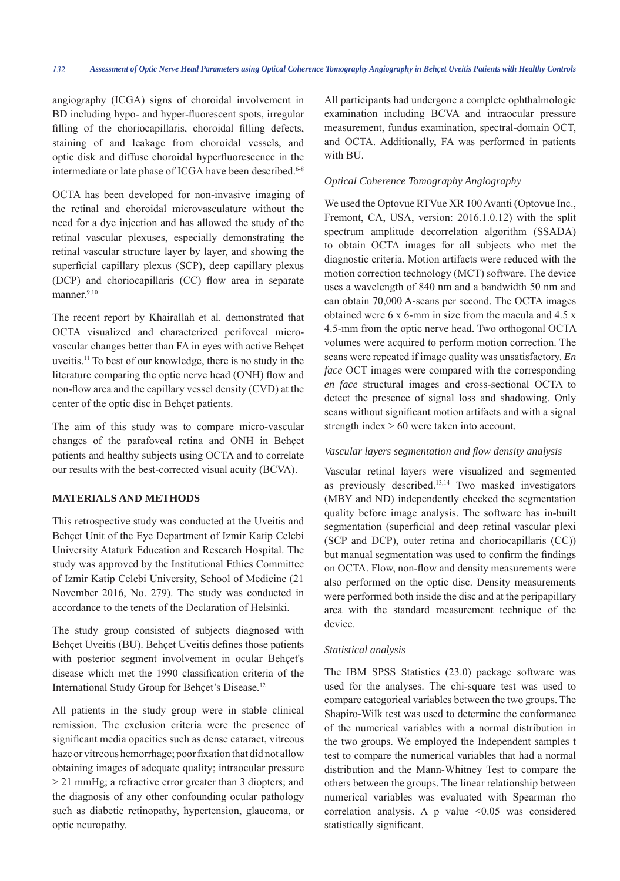angiography (ICGA) signs of choroidal involvement in BD including hypo- and hyper-fluorescent spots, irregular filling of the choriocapillaris, choroidal filling defects, staining of and leakage from choroidal vessels, and optic disk and diffuse choroidal hyperfluorescence in the intermediate or late phase of ICGA have been described.<sup>6-8</sup>

OCTA has been developed for non-invasive imaging of the retinal and choroidal microvasculature without the need for a dye injection and has allowed the study of the retinal vascular plexuses, especially demonstrating the retinal vascular structure layer by layer, and showing the superficial capillary plexus (SCP), deep capillary plexus  $(DCP)$  and choriocapillaris  $(CC)$  flow area in separate manner.<sup>9,10</sup>

The recent report by Khairallah et al. demonstrated that OCTA visualized and characterized perifoveal microvascular changes better than FA in eyes with active Behçet uveitis.11 To best of our knowledge, there is no study in the literature comparing the optic nerve head (ONH) flow and non-flow area and the capillary vessel density (CVD) at the center of the optic disc in Behçet patients.

The aim of this study was to compare micro-vascular changes of the parafoveal retina and ONH in Behçet patients and healthy subjects using OCTA and to correlate our results with the best-corrected visual acuity (BCVA).

# **MATERIALS AND METHODS**

This retrospective study was conducted at the Uveitis and Behçet Unit of the Eye Department of Izmir Katip Celebi University Ataturk Education and Research Hospital. The study was approved by the Institutional Ethics Committee of Izmir Katip Celebi University, School of Medicine (21 November 2016, No. 279). The study was conducted in accordance to the tenets of the Declaration of Helsinki.

The study group consisted of subjects diagnosed with Behçet Uveitis (BU). Behçet Uveitis defines those patients with posterior segment involvement in ocular Behçet's disease which met the 1990 classification criteria of the International Study Group for Behçet's Disease.12

All patients in the study group were in stable clinical remission. The exclusion criteria were the presence of significant media opacities such as dense cataract, vitreous haze or vitreous hemorrhage; poor fixation that did not allow obtaining images of adequate quality; intraocular pressure > 21 mmHg; a refractive error greater than 3 diopters; and the diagnosis of any other confounding ocular pathology such as diabetic retinopathy, hypertension, glaucoma, or optic neuropathy.

All participants had undergone a complete ophthalmologic examination including BCVA and intraocular pressure measurement, fundus examination, spectral-domain OCT, and OCTA. Additionally, FA was performed in patients with BU.

## *Optical Coherence Tomography Angiography*

We used the Optovue RTVue XR 100 Avanti (Optovue Inc., Fremont, CA, USA, version: 2016.1.0.12) with the split spectrum amplitude decorrelation algorithm (SSADA) to obtain OCTA images for all subjects who met the diagnostic criteria. Motion artifacts were reduced with the motion correction technology (MCT) software. The device uses a wavelength of 840 nm and a bandwidth 50 nm and can obtain 70,000 A-scans per second. The OCTA images obtained were 6 x 6-mm in size from the macula and 4.5 x 4.5-mm from the optic nerve head. Two orthogonal OCTA volumes were acquired to perform motion correction. The scans were repeated if image quality was unsatisfactory. *En face* OCT images were compared with the corresponding *en face* structural images and cross-sectional OCTA to detect the presence of signal loss and shadowing. Only scans without significant motion artifacts and with a signal strength index > 60 were taken into account.

## *Vascular layers segmentation and fl ow density analysis*

Vascular retinal layers were visualized and segmented as previously described.13,14 Two masked investigators (MBY and ND) independently checked the segmentation quality before image analysis. The software has in-built segmentation (superficial and deep retinal vascular plexi (SCP and DCP), outer retina and choriocapillaris (CC)) but manual segmentation was used to confirm the findings on OCTA. Flow, non-flow and density measurements were also performed on the optic disc. Density measurements were performed both inside the disc and at the peripapillary area with the standard measurement technique of the device.

# *Statistical analysis*

The IBM SPSS Statistics (23.0) package software was used for the analyses. The chi-square test was used to compare categorical variables between the two groups. The Shapiro-Wilk test was used to determine the conformance of the numerical variables with a normal distribution in the two groups. We employed the Independent samples t test to compare the numerical variables that had a normal distribution and the Mann-Whitney Test to compare the others between the groups. The linear relationship between numerical variables was evaluated with Spearman rho correlation analysis. A p value  $\leq 0.05$  was considered statistically significant.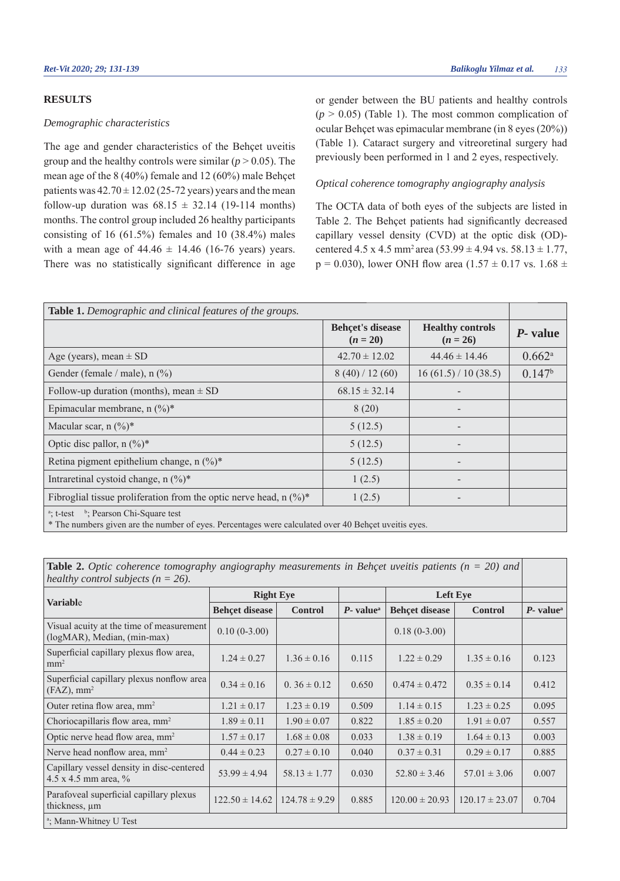## **RESULTS**

#### *Demographic characteristics*

The age and gender characteristics of the Behçet uveitis group and the healthy controls were similar ( $p > 0.05$ ). The mean age of the 8 (40%) female and 12 (60%) male Behçet patients was  $42.70 \pm 12.02$  (25-72 years) years and the mean follow-up duration was  $68.15 \pm 32.14$  (19-114 months) months. The control group included 26 healthy participants consisting of 16 (61.5%) females and 10 (38.4%) males with a mean age of  $44.46 \pm 14.46$  (16-76 years) years. There was no statistically significant difference in age

or gender between the BU patients and healthy controls  $(p > 0.05)$  (Table 1). The most common complication of ocular Behçet was epimacular membrane (in 8 eyes (20%)) (Table 1). Cataract surgery and vitreoretinal surgery had previously been performed in 1 and 2 eyes, respectively.

#### *Optical coherence tomography angiography analysis*

The OCTA data of both eyes of the subjects are listed in Table 2. The Behçet patients had significantly decreased capillary vessel density (CVD) at the optic disk (OD) centered 4.5 x 4.5 mm<sup>2</sup> area (53.99  $\pm$  4.94 vs. 58.13  $\pm$  1.77,  $p = 0.030$ ), lower ONH flow area  $(1.57 \pm 0.17 \text{ vs. } 1.68 \pm 1.05 \text{ s})$ 

| <b>Table 1.</b> Demographic and clinical features of the groups.                                                                                                      |                                       |                                       |                      |  |
|-----------------------------------------------------------------------------------------------------------------------------------------------------------------------|---------------------------------------|---------------------------------------|----------------------|--|
|                                                                                                                                                                       | <b>Behçet's disease</b><br>$(n = 20)$ | <b>Healthy controls</b><br>$(n = 26)$ | P- value             |  |
| Age (years), mean $\pm$ SD                                                                                                                                            | $42.70 \pm 12.02$                     | $44.46 \pm 14.46$                     | $0.662$ <sup>a</sup> |  |
| Gender (female / male), n (%)                                                                                                                                         | 8(40)/12(60)                          | 16(61.5)/10(38.5)                     | 0.147 <sup>b</sup>   |  |
| Follow-up duration (months), mean $\pm$ SD                                                                                                                            | $68.15 \pm 32.14$                     |                                       |                      |  |
| Epimacular membrane, n $(\frac{9}{6})^*$                                                                                                                              | 8(20)                                 |                                       |                      |  |
| Macular scar, $n \binom{0}{0}^*$                                                                                                                                      | 5(12.5)                               |                                       |                      |  |
| Optic disc pallor, $n \binom{0}{0}^*$                                                                                                                                 | 5(12.5)                               |                                       |                      |  |
| Retina pigment epithelium change, n $(\%)^*$                                                                                                                          | 5(12.5)                               |                                       |                      |  |
| Intraretinal cystoid change, $n \binom{0}{0}^*$                                                                                                                       | 1(2.5)                                |                                       |                      |  |
| Fibroglial tissue proliferation from the optic nerve head, $n \binom{0}{0}^*$                                                                                         | 1(2.5)                                |                                       |                      |  |
| <sup>a</sup> ; t-test $\frac{b}{c}$ : Pearson Chi-Square test<br>* The numbers given are the number of eyes. Percentages were calculated over 40 Behçet uveitis eyes. |                                       |                                       |                      |  |

**Table 2.** *Optic coherence tomography angiography measurements in Behçet uveitis patients (n = 20) and healthy control subjects (n = 26).*

| <b>Variable</b>                                                         | <b>Right Eye</b>      |                   |                          | <b>Left Eve</b>       |                    |                          |
|-------------------------------------------------------------------------|-----------------------|-------------------|--------------------------|-----------------------|--------------------|--------------------------|
|                                                                         | <b>Behçet disease</b> | <b>Control</b>    | $P$ - value <sup>a</sup> | <b>Behçet disease</b> | <b>Control</b>     | $P$ - value <sup>a</sup> |
| Visual acuity at the time of measurement<br>(logMAR), Median, (min-max) | $0.10(0-3.00)$        |                   |                          | $0.18(0-3.00)$        |                    |                          |
| Superficial capillary plexus flow area,<br>mm <sup>2</sup>              | $1.24 \pm 0.27$       | $1.36 \pm 0.16$   | 0.115                    | $1.22 \pm 0.29$       | $1.35 \pm 0.16$    | 0.123                    |
| Superficial capillary plexus nonflow area<br>$(FAZ)$ , mm <sup>2</sup>  | $0.34 \pm 0.16$       | $0.36 \pm 0.12$   | 0.650                    | $0.474 \pm 0.472$     | $0.35 \pm 0.14$    | 0.412                    |
| Outer retina flow area, mm <sup>2</sup>                                 | $1.21 \pm 0.17$       | $1.23 \pm 0.19$   | 0.509                    | $1.14 \pm 0.15$       | $1.23 \pm 0.25$    | 0.095                    |
| Choriocapillaris flow area, mm <sup>2</sup>                             | $1.89 \pm 0.11$       | $1.90 \pm 0.07$   | 0.822                    | $1.85 \pm 0.20$       | $1.91 \pm 0.07$    | 0.557                    |
| Optic nerve head flow area, mm <sup>2</sup>                             | $1.57 \pm 0.17$       | $1.68 \pm 0.08$   | 0.033                    | $1.38 \pm 0.19$       | $1.64 \pm 0.13$    | 0.003                    |
| Nerve head nonflow area, mm <sup>2</sup>                                | $0.44 \pm 0.23$       | $0.27 \pm 0.10$   | 0.040                    | $0.37 \pm 0.31$       | $0.29 \pm 0.17$    | 0.885                    |
| Capillary vessel density in disc-centered<br>4.5 x 4.5 mm area, $\%$    | $53.99 \pm 4.94$      | $58.13 \pm 1.77$  | 0.030                    | $52.80 \pm 3.46$      | $57.01 \pm 3.06$   | 0.007                    |
| Parafoveal superficial capillary plexus<br>thickness, um                | $122.50 \pm 14.62$    | $124.78 \pm 9.29$ | 0.885                    | $120.00 \pm 20.93$    | $120.17 \pm 23.07$ | 0.704                    |
| <sup>a</sup> ; Mann-Whitney U Test                                      |                       |                   |                          |                       |                    |                          |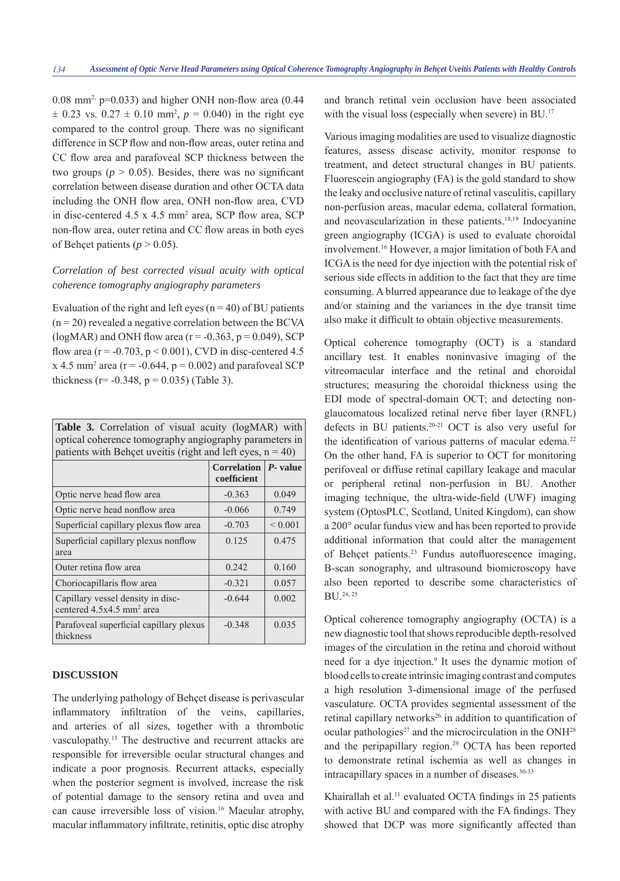$0.08$  mm<sup>2,</sup> p= $0.033$ ) and higher ONH non-flow area  $(0.44)$  $\pm$  0.23 vs. 0.27  $\pm$  0.10 mm<sup>2</sup>,  $p = 0.040$ ) in the right eye compared to the control group. There was no significant difference in SCP flow and non-flow areas, outer retina and CC flow area and parafoveal SCP thickness between the two groups ( $p > 0.05$ ). Besides, there was no significant correlation between disease duration and other OCTA data including the ONH flow area, ONH non-flow area, CVD in disc-centered  $4.5 \times 4.5$  mm<sup>2</sup> area, SCP flow area, SCP non-flow area, outer retina and CC flow areas in both eyes of Behcet patients ( $p > 0.05$ ).

# *Correlation of best corrected visual acuity with optical coherence tomography angiography parameters*

Evaluation of the right and left eyes ( $n = 40$ ) of BU patients  $(n = 20)$  revealed a negative correlation between the BCVA (logMAR) and ONH flow area ( $r = -0.363$ ,  $p = 0.049$ ), SCP flow area ( $r = -0.703$ ,  $p < 0.001$ ), CVD in disc-centered 4.5  $x$  4.5 mm<sup>2</sup> area ( $r = -0.644$ ,  $p = 0.002$ ) and parafoveal SCP thickness ( $r = -0.348$ ,  $p = 0.035$ ) (Table 3).

| <b>Table 3.</b> Correlation of visual acuity (logMAR) with<br>optical coherence tomography angiography parameters in<br>patients with Behçet uveitis (right and left eyes, $n = 40$ ) |                                   |                   |  |  |
|---------------------------------------------------------------------------------------------------------------------------------------------------------------------------------------|-----------------------------------|-------------------|--|--|
|                                                                                                                                                                                       | <b>Correlation</b><br>coefficient | $\vert P$ - value |  |  |
| Optic nerve head flow area                                                                                                                                                            | $-0.363$                          | 0.049             |  |  |
| Optic nerve head nonflow area                                                                                                                                                         | $-0.066$                          | 0.749             |  |  |
| Superficial capillary plexus flow area                                                                                                                                                | $-0.703$                          | ${}_{0.001}$      |  |  |
| Superficial capillary plexus nonflow<br>area                                                                                                                                          | 0.125                             | 0.475             |  |  |
| Outer retina flow area                                                                                                                                                                | 0.242                             | 0.160             |  |  |
| Choriocapillaris flow area                                                                                                                                                            | $-0.321$                          | 0.057             |  |  |
| Capillary vessel density in disc-<br>centered 4.5x4.5 mm <sup>2</sup> area                                                                                                            | $-0.644$                          | 0.002             |  |  |
| Parafoveal superficial capillary plexus<br>thickness                                                                                                                                  | $-0.348$                          | 0.035             |  |  |

#### **DISCUSSION**

The underlying pathology of Behçet disease is perivascular inflammatory infiltration of the veins, capillaries, and arteries of all sizes, together with a thrombotic vasculopathy.15 The destructive and recurrent attacks are responsible for irreversible ocular structural changes and indicate a poor prognosis. Recurrent attacks, especially when the posterior segment is involved, increase the risk of potential damage to the sensory retina and uvea and can cause irreversible loss of vision.16 Macular atrophy, macular inflammatory infiltrate, retinitis, optic disc atrophy

and branch retinal vein occlusion have been associated with the visual loss (especially when severe) in BU.<sup>17</sup>

Various imaging modalities are used to visualize diagnostic features, assess disease activity, monitor response to treatment, and detect structural changes in BU patients. Fluorescein angiography (FA) is the gold standard to show the leaky and occlusive nature of retinal vasculitis, capillary non-perfusion areas, macular edema, collateral formation, and neovascularization in these patients.<sup>18,19</sup> Indocyanine green angiography (ICGA) is used to evaluate choroidal involvement.16 However, a major limitation of both FA and ICGA is the need for dye injection with the potential risk of serious side effects in addition to the fact that they are time consuming. A blurred appearance due to leakage of the dye and/or staining and the variances in the dye transit time also make it difficult to obtain objective measurements.

Optical coherence tomography (OCT) is a standard ancillary test. It enables noninvasive imaging of the vitreomacular interface and the retinal and choroidal structures; measuring the choroidal thickness using the EDI mode of spectral-domain OCT; and detecting nonglaucomatous localized retinal nerve fiber layer (RNFL) defects in BU patients.20-21 OCT is also very useful for the identification of various patterns of macular edema.<sup>22</sup> On the other hand, FA is superior to OCT for monitoring perifoveal or diffuse retinal capillary leakage and macular or peripheral retinal non-perfusion in BU. Another imaging technique, the ultra-wide-field (UWF) imaging system (OptosPLC, Scotland, United Kingdom), can show a 200° ocular fundus view and has been reported to provide additional information that could alter the management of Behçet patients.<sup>23</sup> Fundus autofluorescence imaging, B-scan sonography, and ultrasound biomicroscopy have also been reported to describe some characteristics of BU.24, 25

Optical coherence tomography angiography (OCTA) is a new diagnostic tool that shows reproducible depth-resolved images of the circulation in the retina and choroid without need for a dye injection.<sup>9</sup> It uses the dynamic motion of blood cells to create intrinsic imaging contrast and computes a high resolution 3-dimensional image of the perfused vasculature. OCTA provides segmental assessment of the retinal capillary networks<sup>26</sup> in addition to quantification of ocular pathologies<sup>27</sup> and the microcirculation in the  $ONH<sup>28</sup>$ and the peripapillary region.<sup>29</sup> OCTA has been reported to demonstrate retinal ischemia as well as changes in intracapillary spaces in a number of diseases.30-33

Khairallah et al.<sup>11</sup> evaluated OCTA findings in 25 patients with active BU and compared with the FA findings. They showed that DCP was more significantly affected than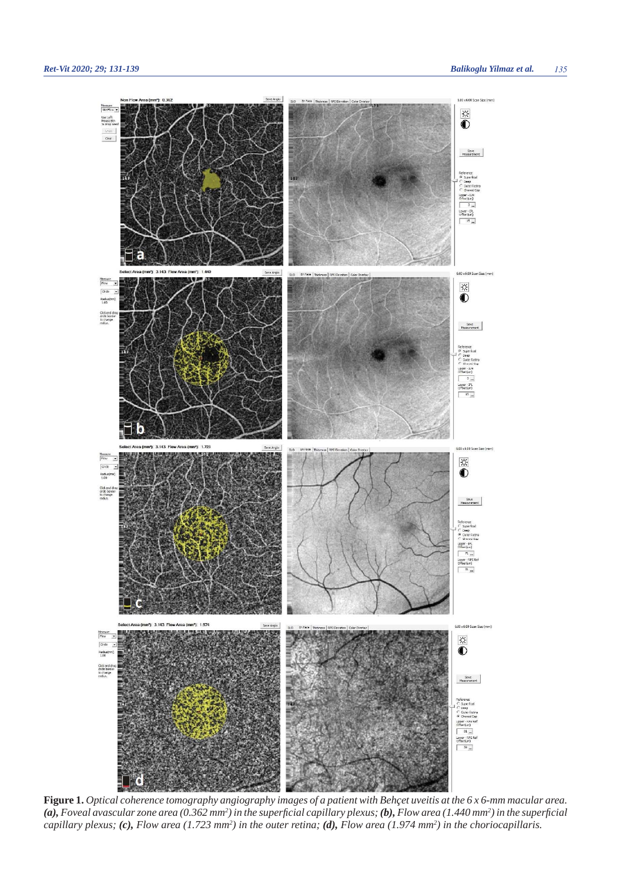

**Figure 1.** *Optical coherence tomography angiography images of a patient with Behçet uveitis at the 6 x 6-mm macular area.*  (a), Foveal avascular zone area (0.362 mm<sup>2</sup>) in the superficial capillary plexus; (b), Flow area (1.440 mm<sup>2</sup>) in the superficial *capillary plexus; (c), Flow area (1.723 mm<sup>2</sup>) in the outer retina; (d), Flow area (1.974 mm<sup>2</sup>) in the choriocapillaris.*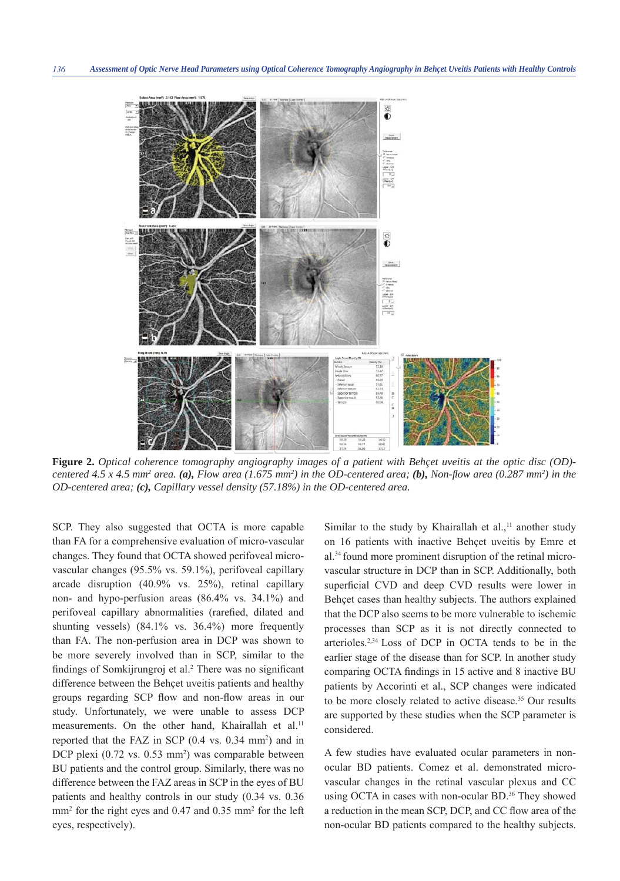

**Figure 2.** *Optical coherence tomography angiography images of a patient with Behçet uveitis at the optic disc (OD) centered 4.5 x 4.5 mm<sup>2</sup> area.* (a), Flow area (1.675 mm<sup>2</sup>) in the OD-centered area; (b), Non-flow area (0.287 mm<sup>2</sup>) in the *OD-centered area; (c), Capillary vessel density (57.18%) in the OD-centered area.*

SCP. They also suggested that OCTA is more capable than FA for a comprehensive evaluation of micro-vascular changes. They found that OCTA showed perifoveal microvascular changes (95.5% vs. 59.1%), perifoveal capillary arcade disruption (40.9% vs. 25%), retinal capillary non- and hypo-perfusion areas (86.4% vs. 34.1%) and perifoveal capillary abnormalities (rarefied, dilated and shunting vessels) (84.1% vs. 36.4%) more frequently than FA. The non-perfusion area in DCP was shown to be more severely involved than in SCP, similar to the findings of Somkijrungroj et al.<sup>2</sup> There was no significant difference between the Behçet uveitis patients and healthy groups regarding SCP flow and non-flow areas in our study. Unfortunately, we were unable to assess DCP measurements. On the other hand, Khairallah et al.<sup>11</sup> reported that the FAZ in SCP  $(0.4 \text{ vs. } 0.34 \text{ mm}^2)$  and in DCP plexi (0.72 vs. 0.53 mm<sup>2</sup>) was comparable between BU patients and the control group. Similarly, there was no difference between the FAZ areas in SCP in the eyes of BU patients and healthy controls in our study (0.34 vs. 0.36 mm<sup>2</sup> for the right eyes and 0.47 and 0.35 mm<sup>2</sup> for the left eyes, respectively).

Similar to the study by Khairallah et al., $<sup>11</sup>$  another study</sup> on 16 patients with inactive Behçet uveitis by Emre et al.34 found more prominent disruption of the retinal microvascular structure in DCP than in SCP. Additionally, both superficial CVD and deep CVD results were lower in Behçet cases than healthy subjects. The authors explained that the DCP also seems to be more vulnerable to ischemic processes than SCP as it is not directly connected to arterioles.2,34 Loss of DCP in OCTA tends to be in the earlier stage of the disease than for SCP. In another study comparing OCTA findings in 15 active and 8 inactive BU patients by Accorinti et al., SCP changes were indicated to be more closely related to active disease.<sup>35</sup> Our results are supported by these studies when the SCP parameter is considered.

A few studies have evaluated ocular parameters in nonocular BD patients. Comez et al. demonstrated microvascular changes in the retinal vascular plexus and CC using OCTA in cases with non-ocular BD.<sup>36</sup> They showed a reduction in the mean SCP, DCP, and CC flow area of the non-ocular BD patients compared to the healthy subjects.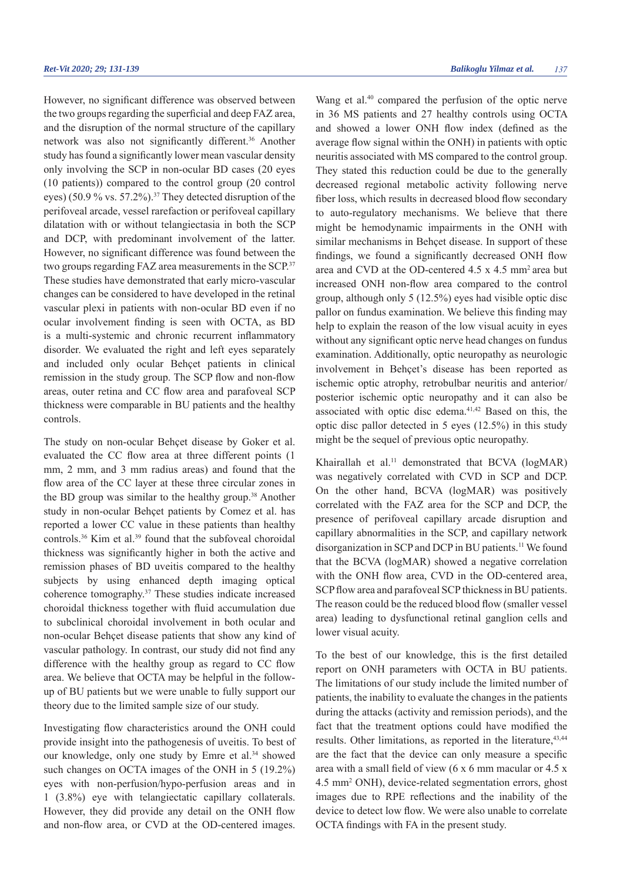However, no significant difference was observed between the two groups regarding the superficial and deep FAZ area, and the disruption of the normal structure of the capillary network was also not significantly different.<sup>36</sup> Another study has found a significantly lower mean vascular density only involving the SCP in non-ocular BD cases (20 eyes (10 patients)) compared to the control group (20 control eyes) (50.9 % vs. 57.2%).<sup>37</sup> They detected disruption of the perifoveal arcade, vessel rarefaction or perifoveal capillary dilatation with or without telangiectasia in both the SCP and DCP, with predominant involvement of the latter. However, no significant difference was found between the two groups regarding FAZ area measurements in the SCP.<sup>37</sup> These studies have demonstrated that early micro-vascular changes can be considered to have developed in the retinal vascular plexi in patients with non-ocular BD even if no ocular involvement finding is seen with OCTA, as BD is a multi-systemic and chronic recurrent inflammatory disorder. We evaluated the right and left eyes separately and included only ocular Behçet patients in clinical remission in the study group. The SCP flow and non-flow areas, outer retina and CC flow area and parafoveal SCP thickness were comparable in BU patients and the healthy controls.

The study on non-ocular Behçet disease by Goker et al. evaluated the CC flow area at three different points (1) mm, 2 mm, and 3 mm radius areas) and found that the flow area of the CC layer at these three circular zones in the BD group was similar to the healthy group.38 Another study in non-ocular Behçet patients by Comez et al. has reported a lower CC value in these patients than healthy controls.<sup>36</sup> Kim et al.<sup>39</sup> found that the subfoveal choroidal thickness was significantly higher in both the active and remission phases of BD uveitis compared to the healthy subjects by using enhanced depth imaging optical coherence tomography.37 These studies indicate increased choroidal thickness together with fluid accumulation due to subclinical choroidal involvement in both ocular and non-ocular Behçet disease patients that show any kind of vascular pathology. In contrast, our study did not find any difference with the healthy group as regard to CC flow area. We believe that OCTA may be helpful in the followup of BU patients but we were unable to fully support our theory due to the limited sample size of our study.

Investigating flow characteristics around the ONH could provide insight into the pathogenesis of uveitis. To best of our knowledge, only one study by Emre et al.<sup>34</sup> showed such changes on OCTA images of the ONH in 5 (19.2%) eyes with non-perfusion/hypo-perfusion areas and in 1 (3.8%) eye with telangiectatic capillary collaterals. However, they did provide any detail on the ONH flow and non-flow area, or CVD at the OD-centered images.

Wang et al.<sup>40</sup> compared the perfusion of the optic nerve in 36 MS patients and 27 healthy controls using OCTA and showed a lower ONH flow index (defined as the average flow signal within the ONH) in patients with optic neuritis associated with MS compared to the control group. They stated this reduction could be due to the generally decreased regional metabolic activity following nerve fiber loss, which results in decreased blood flow secondary to auto-regulatory mechanisms. We believe that there might be hemodynamic impairments in the ONH with similar mechanisms in Behçet disease. In support of these findings, we found a significantly decreased ONH flow area and CVD at the OD-centered 4.5 x 4.5 mm<sup>2</sup> area but increased ONH non-flow area compared to the control group, although only 5 (12.5%) eyes had visible optic disc pallor on fundus examination. We believe this finding may help to explain the reason of the low visual acuity in eyes without any significant optic nerve head changes on fundus examination. Additionally, optic neuropathy as neurologic involvement in Behçet's disease has been reported as ischemic optic atrophy, retrobulbar neuritis and anterior/ posterior ischemic optic neuropathy and it can also be associated with optic disc edema.41,42 Based on this, the optic disc pallor detected in 5 eyes (12.5%) in this study might be the sequel of previous optic neuropathy.

Khairallah et al.<sup>11</sup> demonstrated that BCVA (logMAR) was negatively correlated with CVD in SCP and DCP. On the other hand, BCVA (logMAR) was positively correlated with the FAZ area for the SCP and DCP, the presence of perifoveal capillary arcade disruption and capillary abnormalities in the SCP, and capillary network disorganization in SCP and DCP in BU patients.<sup>11</sup> We found that the BCVA (logMAR) showed a negative correlation with the ONH flow area, CVD in the OD-centered area, SCP flow area and parafoveal SCP thickness in BU patients. The reason could be the reduced blood flow (smaller vessel area) leading to dysfunctional retinal ganglion cells and lower visual acuity.

To the best of our knowledge, this is the first detailed report on ONH parameters with OCTA in BU patients. The limitations of our study include the limited number of patients, the inability to evaluate the changes in the patients during the attacks (activity and remission periods), and the fact that the treatment options could have modified the results. Other limitations, as reported in the literature,  $43,44$ are the fact that the device can only measure a specific area with a small field of view  $(6 \times 6 \text{ mm} \text{ macular or } 4.5 \times$ 4.5 mm2 ONH), device-related segmentation errors, ghost images due to RPE reflections and the inability of the device to detect low flow. We were also unable to correlate OCTA findings with FA in the present study.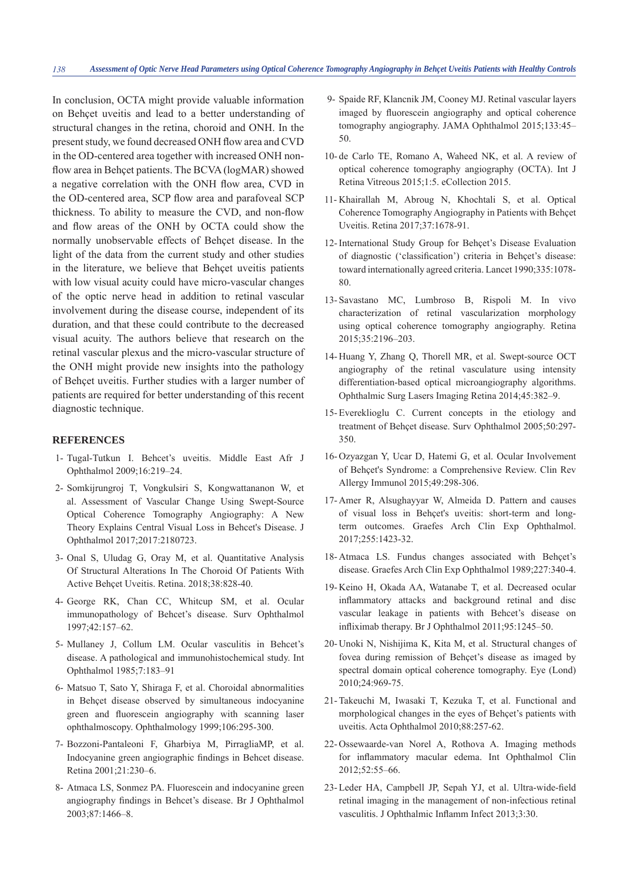In conclusion, OCTA might provide valuable information on Behçet uveitis and lead to a better understanding of structural changes in the retina, choroid and ONH. In the present study, we found decreased ONH flow area and CVD in the OD-centered area together with increased ONH nonflow area in Behçet patients. The BCVA (logMAR) showed a negative correlation with the ONH flow area, CVD in the OD-centered area, SCP flow area and parafoveal SCP thickness. To ability to measure the CVD, and non-flow and flow areas of the ONH by OCTA could show the normally unobservable effects of Behçet disease. In the light of the data from the current study and other studies in the literature, we believe that Behçet uveitis patients with low visual acuity could have micro-vascular changes of the optic nerve head in addition to retinal vascular involvement during the disease course, independent of its duration, and that these could contribute to the decreased visual acuity. The authors believe that research on the retinal vascular plexus and the micro-vascular structure of the ONH might provide new insights into the pathology of Behçet uveitis. Further studies with a larger number of patients are required for better understanding of this recent diagnostic technique.

## **REFERENCES**

- 1- Tugal-Tutkun I. Behcet's uveitis. Middle East Afr J Ophthalmol 2009;16:219–24.
- 2- Somkijrungroj T, Vongkulsiri S, Kongwattananon W, et al. Assessment of Vascular Change Using Swept-Source Optical Coherence Tomography Angiography: A New Theory Explains Central Visual Loss in Behcet's Disease. J Ophthalmol 2017;2017:2180723.
- 3- Onal S, Uludag G, Oray M, et al. Quantitative Analysis Of Structural Alterations In The Choroid Of Patients With Active Behçet Uveitis. Retina. 2018;38:828-40.
- 4- George RK, Chan CC, Whitcup SM, et al. Ocular immunopathology of Behcet's disease. Surv Ophthalmol 1997;42:157–62.
- 5- Mullaney J, Collum LM. Ocular vasculitis in Behcet's disease. A pathological and immunohistochemical study. Int Ophthalmol 1985;7:183–91
- 6- Matsuo T, Sato Y, Shiraga F, et al. Choroidal abnormalities in Behçet disease observed by simultaneous indocyanine green and fluorescein angiography with scanning laser ophthalmoscopy. Ophthalmology 1999;106:295-300.
- 7- Bozzoni-Pantaleoni F, Gharbiya M, PirragliaMP, et al. Indocyanine green angiographic findings in Behcet disease. Retina 2001;21:230–6.
- 8- Atmaca LS, Sonmez PA. Fluorescein and indocyanine green angiography findings in Behcet's disease. Br J Ophthalmol 2003;87:1466–8.
- 9- Spaide RF, Klancnik JM, Cooney MJ. Retinal vascular layers imaged by fluorescein angiography and optical coherence tomography angiography. JAMA Ophthalmol 2015;133:45– 50.
- 10- de Carlo TE, Romano A, Waheed NK, et al. A review of optical coherence tomography angiography (OCTA). Int J Retina Vitreous 2015;1:5. eCollection 2015.
- 11- Khairallah M, Abroug N, Khochtali S, et al. Optical Coherence Tomography Angiography in Patients with Behçet Uveitis. Retina 2017;37:1678-91.
- 12- International Study Group for Behçet's Disease Evaluation of diagnostic ('classification') criteria in Behçet's disease: toward internationally agreed criteria. Lancet 1990;335:1078- 80.
- 13- Savastano MC, Lumbroso B, Rispoli M. In vivo characterization of retinal vascularization morphology using optical coherence tomography angiography. Retina 2015;35:2196–203.
- 14- Huang Y, Zhang Q, Thorell MR, et al. Swept-source OCT angiography of the retinal vasculature using intensity differentiation-based optical microangiography algorithms. Ophthalmic Surg Lasers Imaging Retina 2014;45:382–9.
- 15- Evereklioglu C. Current concepts in the etiology and treatment of Behçet disease. Surv Ophthalmol 2005;50:297- 350.
- 16- Ozyazgan Y, Ucar D, Hatemi G, et al. Ocular Involvement of Behçet's Syndrome: a Comprehensive Review. Clin Rev Allergy Immunol 2015;49:298-306.
- 17- Amer R, Alsughayyar W, Almeida D. Pattern and causes of visual loss in Behçet's uveitis: short-term and longterm outcomes. Graefes Arch Clin Exp Ophthalmol. 2017;255:1423-32.
- 18- Atmaca LS. Fundus changes associated with Behçet's disease. Graefes Arch Clin Exp Ophthalmol 1989;227:340-4.
- 19- Keino H, Okada AA, Watanabe T, et al. Decreased ocular inflammatory attacks and background retinal and disc vascular leakage in patients with Behcet's disease on infliximab therapy. Br J Ophthalmol 2011;95:1245-50.
- 20- Unoki N, Nishijima K, Kita M, et al. Structural changes of fovea during remission of Behçet's disease as imaged by spectral domain optical coherence tomography. Eye (Lond) 2010;24:969-75.
- 21- Takeuchi M, Iwasaki T, Kezuka T, et al. Functional and morphological changes in the eyes of Behçet's patients with uveitis. Acta Ophthalmol 2010;88:257-62.
- 22- Ossewaarde-van Norel A, Rothova A. Imaging methods for inflammatory macular edema. Int Ophthalmol Clin 2012;52:55–66.
- 23- Leder HA, Campbell JP, Sepah YJ, et al. Ultra-wide-field retinal imaging in the management of non-infectious retinal vasculitis. J Ophthalmic Inflamm Infect 2013;3:30.